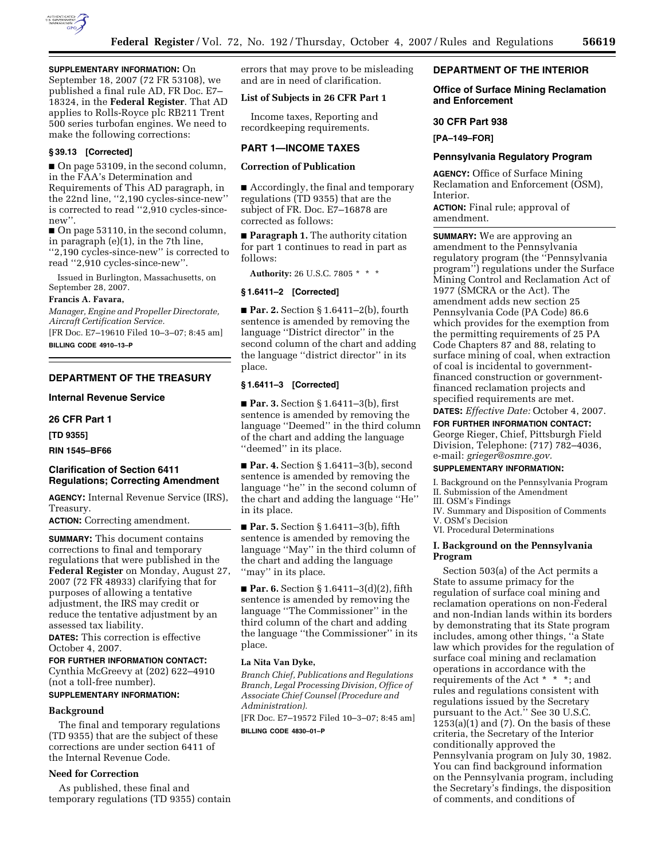

# **SUPPLEMENTARY INFORMATION:** On

September 18, 2007 (72 FR 53108), we published a final rule AD, FR Doc. E7– 18324, in the **Federal Register**. That AD applies to Rolls-Royce plc RB211 Trent 500 series turbofan engines. We need to make the following corrections:

### **§ 39.13 [Corrected]**

■ On page 53109, in the second column, in the FAA's Determination and Requirements of This AD paragraph, in the 22nd line, ''2,190 cycles-since-new'' is corrected to read ''2,910 cycles-sincenew''.

■ On page 53110, in the second column, in paragraph (e)(1), in the 7th line, ''2,190 cycles-since-new'' is corrected to read ''2,910 cycles-since-new''.

Issued in Burlington, Massachusetts, on September 28, 2007.

# **Francis A. Favara,**

*Manager, Engine and Propeller Directorate, Aircraft Certification Service.* 

[FR Doc. E7–19610 Filed 10–3–07; 8:45 am] **BILLING CODE 4910–13–P** 

# **DEPARTMENT OF THE TREASURY**

#### **Internal Revenue Service**

**26 CFR Part 1** 

**[TD 9355]** 

#### **RIN 1545–BF66**

# **Clarification of Section 6411 Regulations; Correcting Amendment**

**AGENCY:** Internal Revenue Service (IRS), Treasury.

**ACTION:** Correcting amendment.

**SUMMARY:** This document contains corrections to final and temporary regulations that were published in the **Federal Register** on Monday, August 27, 2007 (72 FR 48933) clarifying that for purposes of allowing a tentative adjustment, the IRS may credit or reduce the tentative adjustment by an assessed tax liability.

**DATES:** This correction is effective October 4, 2007.

## **FOR FURTHER INFORMATION CONTACT:**

Cynthia McGreevy at (202) 622–4910 (not a toll-free number).

# **SUPPLEMENTARY INFORMATION:**

# **Background**

The final and temporary regulations (TD 9355) that are the subject of these corrections are under section 6411 of the Internal Revenue Code.

# **Need for Correction**

As published, these final and temporary regulations (TD 9355) contain errors that may prove to be misleading and are in need of clarification.

## **List of Subjects in 26 CFR Part 1**

Income taxes, Reporting and recordkeeping requirements.

### **PART 1—INCOME TAXES**

# **Correction of Publication**

■ Accordingly, the final and temporary regulations (TD 9355) that are the subject of FR. Doc. E7–16878 are corrected as follows:

■ **Paragraph 1.** The authority citation for part 1 continues to read in part as follows:

**Authority:** 26 U.S.C. 7805 \* \* \*

# **§ 1.6411–2 [Corrected]**

■ **Par. 2.** Section § 1.6411–2(b), fourth sentence is amended by removing the language ''District director'' in the second column of the chart and adding the language ''district director'' in its place.

## **§ 1.6411–3 [Corrected]**

■ **Par. 3.** Section § 1.6411–3(b), first sentence is amended by removing the language ''Deemed'' in the third column of the chart and adding the language "deemed" in its place.

■ **Par. 4.** Section § 1.6411-3(b), second sentence is amended by removing the language ''he'' in the second column of the chart and adding the language ''He'' in its place.

■ **Par. 5.** Section § 1.6411–3(b), fifth sentence is amended by removing the language ''May'' in the third column of the chart and adding the language "may" in its place.

■ **Par. 6.** Section § 1.6411–3(d)(2), fifth sentence is amended by removing the language ''The Commissioner'' in the third column of the chart and adding the language ''the Commissioner'' in its place.

## **La Nita Van Dyke,**

*Branch Chief, Publications and Regulations Branch, Legal Processing Division, Office of Associate Chief Counsel (Procedure and Administration).* 

[FR Doc. E7–19572 Filed 10–3–07; 8:45 am]

## **BILLING CODE 4830–01–P**

#### **DEPARTMENT OF THE INTERIOR**

# **Office of Surface Mining Reclamation and Enforcement**

#### **30 CFR Part 938**

**[PA–149–FOR]** 

#### **Pennsylvania Regulatory Program**

**AGENCY:** Office of Surface Mining Reclamation and Enforcement (OSM), Interior.

**ACTION:** Final rule; approval of amendment.

**SUMMARY:** We are approving an amendment to the Pennsylvania regulatory program (the ''Pennsylvania program'') regulations under the Surface Mining Control and Reclamation Act of 1977 (SMCRA or the Act). The amendment adds new section 25 Pennsylvania Code (PA Code) 86.6 which provides for the exemption from the permitting requirements of 25 PA Code Chapters 87 and 88, relating to surface mining of coal, when extraction of coal is incidental to governmentfinanced construction or governmentfinanced reclamation projects and specified requirements are met.

# **DATES:** *Effective Date:* October 4, 2007.

**FOR FURTHER INFORMATION CONTACT:**  George Rieger, Chief, Pittsburgh Field Division, Telephone: (717) 782–4036, e-mail: *grieger@osmre.gov.* 

# **SUPPLEMENTARY INFORMATION:**

I. Background on the Pennsylvania Program II. Submission of the Amendment

III. OSM's Findings

- IV. Summary and Disposition of Comments V. OSM's Decision
- VI. Procedural Determinations

# **I. Background on the Pennsylvania Program**

Section 503(a) of the Act permits a State to assume primacy for the regulation of surface coal mining and reclamation operations on non-Federal and non-Indian lands within its borders by demonstrating that its State program includes, among other things, ''a State law which provides for the regulation of surface coal mining and reclamation operations in accordance with the requirements of the Act \* \* \*; and rules and regulations consistent with regulations issued by the Secretary pursuant to the Act.'' See 30 U.S.C.  $1253(a)(1)$  and (7). On the basis of these criteria, the Secretary of the Interior conditionally approved the Pennsylvania program on July 30, 1982. You can find background information on the Pennsylvania program, including the Secretary's findings, the disposition of comments, and conditions of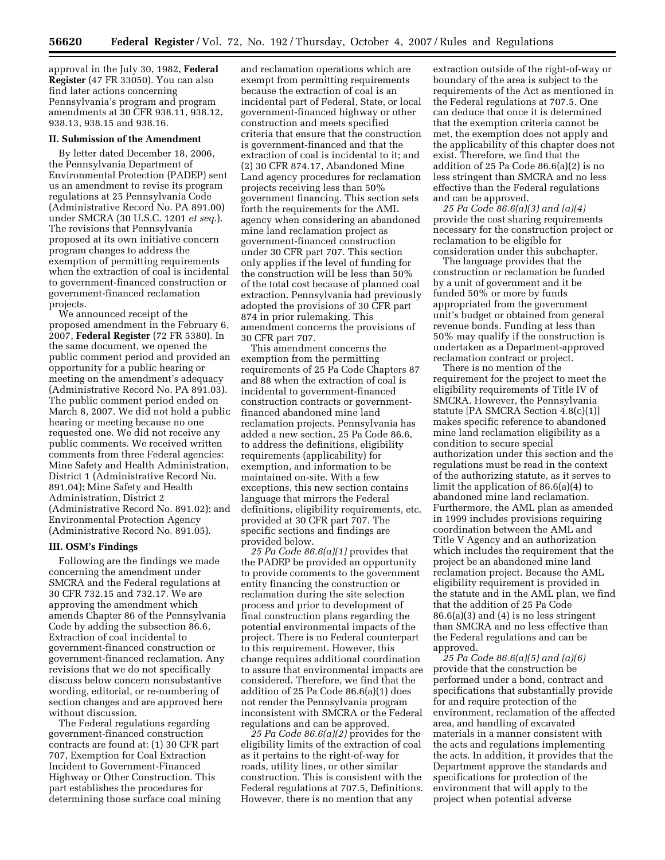approval in the July 30, 1982, **Federal Register** (47 FR 33050). You can also find later actions concerning Pennsylvania's program and program amendments at 30 CFR 938.11, 938.12, 938.13, 938.15 and 938.16.

#### **II. Submission of the Amendment**

By letter dated December 18, 2006, the Pennsylvania Department of Environmental Protection (PADEP) sent us an amendment to revise its program regulations at 25 Pennsylvania Code (Administrative Record No. PA 891.00) under SMCRA (30 U.S.C. 1201 *et seq*.). The revisions that Pennsylvania proposed at its own initiative concern program changes to address the exemption of permitting requirements when the extraction of coal is incidental to government-financed construction or government-financed reclamation projects.

We announced receipt of the proposed amendment in the February 6, 2007, **Federal Register** (72 FR 5380). In the same document, we opened the public comment period and provided an opportunity for a public hearing or meeting on the amendment's adequacy (Administrative Record No. PA 891.03). The public comment period ended on March 8, 2007. We did not hold a public hearing or meeting because no one requested one. We did not receive any public comments. We received written comments from three Federal agencies: Mine Safety and Health Administration, District 1 (Administrative Record No. 891.04); Mine Safety and Health Administration, District 2 (Administrative Record No. 891.02); and Environmental Protection Agency (Administrative Record No. 891.05).

#### **III. OSM's Findings**

Following are the findings we made concerning the amendment under SMCRA and the Federal regulations at 30 CFR 732.15 and 732.17. We are approving the amendment which amends Chapter 86 of the Pennsylvania Code by adding the subsection 86.6, Extraction of coal incidental to government-financed construction or government-financed reclamation. Any revisions that we do not specifically discuss below concern nonsubstantive wording, editorial, or re-numbering of section changes and are approved here without discussion.

The Federal regulations regarding government-financed construction contracts are found at: (1) 30 CFR part 707, Exemption for Coal Extraction Incident to Government-Financed Highway or Other Construction. This part establishes the procedures for determining those surface coal mining

and reclamation operations which are exempt from permitting requirements because the extraction of coal is an incidental part of Federal, State, or local government-financed highway or other construction and meets specified criteria that ensure that the construction is government-financed and that the extraction of coal is incidental to it; and (2) 30 CFR 874.17, Abandoned Mine Land agency procedures for reclamation projects receiving less than 50% government financing. This section sets forth the requirements for the AML agency when considering an abandoned mine land reclamation project as government-financed construction under 30 CFR part 707. This section only applies if the level of funding for the construction will be less than 50% of the total cost because of planned coal extraction. Pennsylvania had previously adopted the provisions of 30 CFR part 874 in prior rulemaking. This amendment concerns the provisions of 30 CFR part 707.

This amendment concerns the exemption from the permitting requirements of 25 Pa Code Chapters 87 and 88 when the extraction of coal is incidental to government-financed construction contracts or governmentfinanced abandoned mine land reclamation projects. Pennsylvania has added a new section, 25 Pa Code 86.6, to address the definitions, eligibility requirements (applicability) for exemption, and information to be maintained on-site. With a few exceptions, this new section contains language that mirrors the Federal definitions, eligibility requirements, etc. provided at 30 CFR part 707. The specific sections and findings are provided below.

*25 Pa Code 86.6(a)(1)* provides that the PADEP be provided an opportunity to provide comments to the government entity financing the construction or reclamation during the site selection process and prior to development of final construction plans regarding the potential environmental impacts of the project. There is no Federal counterpart to this requirement. However, this change requires additional coordination to assure that environmental impacts are considered. Therefore, we find that the addition of 25 Pa Code 86.6(a)(1) does not render the Pennsylvania program inconsistent with SMCRA or the Federal regulations and can be approved.

*25 Pa Code 86.6(a)(2)* provides for the eligibility limits of the extraction of coal as it pertains to the right-of-way for roads, utility lines, or other similar construction. This is consistent with the Federal regulations at 707.5, Definitions. However, there is no mention that any

extraction outside of the right-of-way or boundary of the area is subject to the requirements of the Act as mentioned in the Federal regulations at 707.5. One can deduce that once it is determined that the exemption criteria cannot be met, the exemption does not apply and the applicability of this chapter does not exist. Therefore, we find that the addition of 25 Pa Code 86.6(a)(2) is no less stringent than SMCRA and no less effective than the Federal regulations and can be approved.

*25 Pa Code 86.6(a)(3) and (a)(4)*  provide the cost sharing requirements necessary for the construction project or reclamation to be eligible for consideration under this subchapter.

The language provides that the construction or reclamation be funded by a unit of government and it be funded 50% or more by funds appropriated from the government unit's budget or obtained from general revenue bonds. Funding at less than 50% may qualify if the construction is undertaken as a Department-approved reclamation contract or project.

There is no mention of the requirement for the project to meet the eligibility requirements of Title IV of SMCRA. However, the Pennsylvania statute [PA SMCRA Section 4.8(c)(1)] makes specific reference to abandoned mine land reclamation eligibility as a condition to secure special authorization under this section and the regulations must be read in the context of the authorizing statute, as it serves to limit the application of 86.6(a)(4) to abandoned mine land reclamation. Furthermore, the AML plan as amended in 1999 includes provisions requiring coordination between the AML and Title V Agency and an authorization which includes the requirement that the project be an abandoned mine land reclamation project. Because the AML eligibility requirement is provided in the statute and in the AML plan, we find that the addition of 25 Pa Code 86.6(a)(3) and (4) is no less stringent than SMCRA and no less effective than the Federal regulations and can be approved.

*25 Pa Code 86.6(a)(5) and (a)(6)*  provide that the construction be performed under a bond, contract and specifications that substantially provide for and require protection of the environment, reclamation of the affected area, and handling of excavated materials in a manner consistent with the acts and regulations implementing the acts. In addition, it provides that the Department approve the standards and specifications for protection of the environment that will apply to the project when potential adverse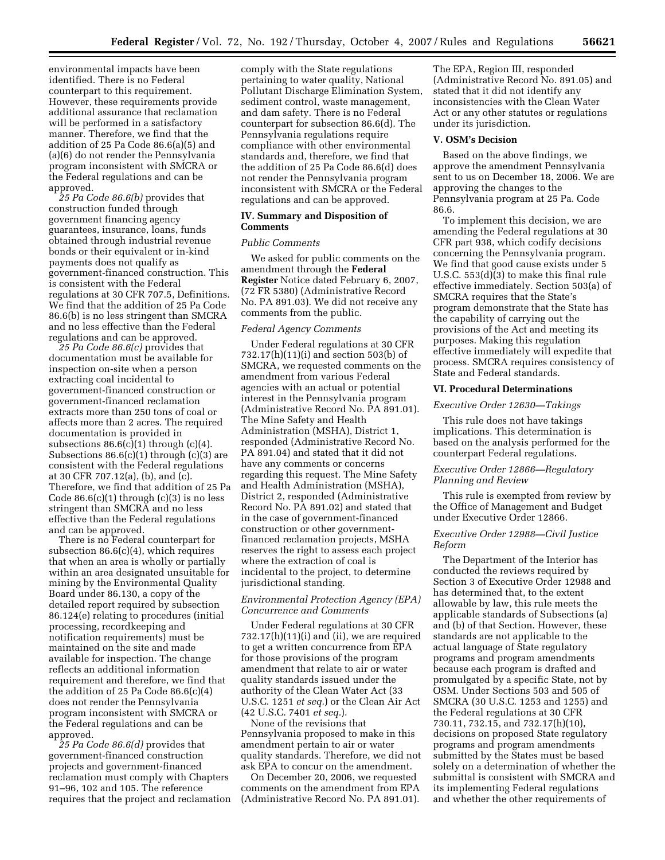environmental impacts have been identified. There is no Federal counterpart to this requirement. However, these requirements provide additional assurance that reclamation will be performed in a satisfactory manner. Therefore, we find that the addition of 25 Pa Code 86.6(a)(5) and (a)(6) do not render the Pennsylvania program inconsistent with SMCRA or the Federal regulations and can be approved.

*25 Pa Code 86.6(b)* provides that construction funded through government financing agency guarantees, insurance, loans, funds obtained through industrial revenue bonds or their equivalent or in-kind payments does not qualify as government-financed construction. This is consistent with the Federal regulations at 30 CFR 707.5, Definitions. We find that the addition of 25 Pa Code 86.6(b) is no less stringent than SMCRA and no less effective than the Federal regulations and can be approved.

*25 Pa Code 86.6(c)* provides that documentation must be available for inspection on-site when a person extracting coal incidental to government-financed construction or government-financed reclamation extracts more than 250 tons of coal or affects more than 2 acres. The required documentation is provided in subsections  $86.6(c)(1)$  through  $(c)(4)$ . Subsections  $86.6(c)(1)$  through  $(c)(3)$  are consistent with the Federal regulations at 30 CFR 707.12(a), (b), and (c). Therefore, we find that addition of 25 Pa Code  $86.6(c)(1)$  through  $(c)(3)$  is no less stringent than SMCRA and no less effective than the Federal regulations and can be approved.

There is no Federal counterpart for subsection 86.6(c)(4), which requires that when an area is wholly or partially within an area designated unsuitable for mining by the Environmental Quality Board under 86.130, a copy of the detailed report required by subsection 86.124(e) relating to procedures (initial processing, recordkeeping and notification requirements) must be maintained on the site and made available for inspection. The change reflects an additional information requirement and therefore, we find that the addition of 25 Pa Code 86.6(c)(4) does not render the Pennsylvania program inconsistent with SMCRA or the Federal regulations and can be approved.

*25 Pa Code 86.6(d)* provides that government-financed construction projects and government-financed reclamation must comply with Chapters 91–96, 102 and 105. The reference requires that the project and reclamation

comply with the State regulations pertaining to water quality, National Pollutant Discharge Elimination System, sediment control, waste management, and dam safety. There is no Federal counterpart for subsection 86.6(d). The Pennsylvania regulations require compliance with other environmental standards and, therefore, we find that the addition of 25 Pa Code 86.6(d) does not render the Pennsylvania program inconsistent with SMCRA or the Federal regulations and can be approved.

## **IV. Summary and Disposition of Comments**

#### *Public Comments*

We asked for public comments on the amendment through the **Federal Register** Notice dated February 6, 2007, (72 FR 5380) (Administrative Record No. PA 891.03). We did not receive any comments from the public.

## *Federal Agency Comments*

Under Federal regulations at 30 CFR 732.17(h)(11)(i) and section 503(b) of SMCRA, we requested comments on the amendment from various Federal agencies with an actual or potential interest in the Pennsylvania program (Administrative Record No. PA 891.01). The Mine Safety and Health Administration (MSHA), District 1, responded (Administrative Record No. PA 891.04) and stated that it did not have any comments or concerns regarding this request. The Mine Safety and Health Administration (MSHA), District 2, responded (Administrative Record No. PA 891.02) and stated that in the case of government-financed construction or other governmentfinanced reclamation projects, MSHA reserves the right to assess each project where the extraction of coal is incidental to the project, to determine jurisdictional standing.

## *Environmental Protection Agency (EPA) Concurrence and Comments*

Under Federal regulations at 30 CFR 732.17(h)(11)(i) and (ii), we are required to get a written concurrence from EPA for those provisions of the program amendment that relate to air or water quality standards issued under the authority of the Clean Water Act (33 U.S.C. 1251 *et seq.*) or the Clean Air Act (42 U.S.C. 7401 *et seq.*).

None of the revisions that Pennsylvania proposed to make in this amendment pertain to air or water quality standards. Therefore, we did not ask EPA to concur on the amendment.

On December 20, 2006, we requested comments on the amendment from EPA (Administrative Record No. PA 891.01).

The EPA, Region III, responded (Administrative Record No. 891.05) and stated that it did not identify any inconsistencies with the Clean Water Act or any other statutes or regulations under its jurisdiction.

## **V. OSM's Decision**

Based on the above findings, we approve the amendment Pennsylvania sent to us on December 18, 2006. We are approving the changes to the Pennsylvania program at 25 Pa. Code 86.6.

To implement this decision, we are amending the Federal regulations at 30 CFR part 938, which codify decisions concerning the Pennsylvania program. We find that good cause exists under 5 U.S.C. 553(d)(3) to make this final rule effective immediately. Section 503(a) of SMCRA requires that the State's program demonstrate that the State has the capability of carrying out the provisions of the Act and meeting its purposes. Making this regulation effective immediately will expedite that process. SMCRA requires consistency of State and Federal standards.

#### **VI. Procedural Determinations**

# *Executive Order 12630—Takings*

This rule does not have takings implications. This determination is based on the analysis performed for the counterpart Federal regulations.

## *Executive Order 12866—Regulatory Planning and Review*

This rule is exempted from review by the Office of Management and Budget under Executive Order 12866.

## *Executive Order 12988—Civil Justice Reform*

The Department of the Interior has conducted the reviews required by Section 3 of Executive Order 12988 and has determined that, to the extent allowable by law, this rule meets the applicable standards of Subsections (a) and (b) of that Section. However, these standards are not applicable to the actual language of State regulatory programs and program amendments because each program is drafted and promulgated by a specific State, not by OSM. Under Sections 503 and 505 of SMCRA (30 U.S.C. 1253 and 1255) and the Federal regulations at 30 CFR 730.11, 732.15, and 732.17(h)(10), decisions on proposed State regulatory programs and program amendments submitted by the States must be based solely on a determination of whether the submittal is consistent with SMCRA and its implementing Federal regulations and whether the other requirements of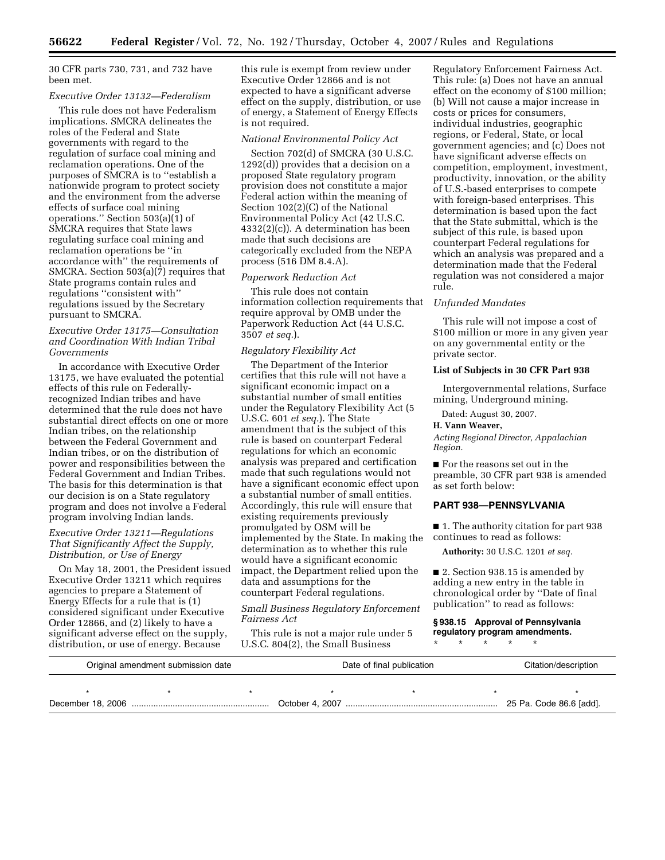30 CFR parts 730, 731, and 732 have been met.

#### *Executive Order 13132—Federalism*

This rule does not have Federalism implications. SMCRA delineates the roles of the Federal and State governments with regard to the regulation of surface coal mining and reclamation operations. One of the purposes of SMCRA is to ''establish a nationwide program to protect society and the environment from the adverse effects of surface coal mining operations.'' Section 503(a)(1) of SMCRA requires that State laws regulating surface coal mining and reclamation operations be ''in accordance with'' the requirements of SMCRA. Section 503(a)(7) requires that State programs contain rules and regulations ''consistent with'' regulations issued by the Secretary pursuant to SMCRA.

# *Executive Order 13175—Consultation and Coordination With Indian Tribal Governments*

In accordance with Executive Order 13175, we have evaluated the potential effects of this rule on Federallyrecognized Indian tribes and have determined that the rule does not have substantial direct effects on one or more Indian tribes, on the relationship between the Federal Government and Indian tribes, or on the distribution of power and responsibilities between the Federal Government and Indian Tribes. The basis for this determination is that our decision is on a State regulatory program and does not involve a Federal program involving Indian lands.

# *Executive Order 13211—Regulations That Significantly Affect the Supply, Distribution, or Use of Energy*

On May 18, 2001, the President issued Executive Order 13211 which requires agencies to prepare a Statement of Energy Effects for a rule that is (1) considered significant under Executive Order 12866, and (2) likely to have a significant adverse effect on the supply, distribution, or use of energy. Because

this rule is exempt from review under Executive Order 12866 and is not expected to have a significant adverse effect on the supply, distribution, or use of energy, a Statement of Energy Effects is not required.

#### *National Environmental Policy Act*

Section 702(d) of SMCRA (30 U.S.C. 1292(d)) provides that a decision on a proposed State regulatory program provision does not constitute a major Federal action within the meaning of Section 102(2)(C) of the National Environmental Policy Act (42 U.S.C. 4332(2)(c)). A determination has been made that such decisions are categorically excluded from the NEPA process (516 DM 8.4.A).

#### *Paperwork Reduction Act*

This rule does not contain information collection requirements that require approval by OMB under the Paperwork Reduction Act (44 U.S.C. 3507 *et seq.*).

#### *Regulatory Flexibility Act*

The Department of the Interior certifies that this rule will not have a significant economic impact on a substantial number of small entities under the Regulatory Flexibility Act (5 U.S.C. 601 *et seq.*). The State amendment that is the subject of this rule is based on counterpart Federal regulations for which an economic analysis was prepared and certification made that such regulations would not have a significant economic effect upon a substantial number of small entities. Accordingly, this rule will ensure that existing requirements previously promulgated by OSM will be implemented by the State. In making the determination as to whether this rule would have a significant economic impact, the Department relied upon the data and assumptions for the counterpart Federal regulations.

# *Small Business Regulatory Enforcement Fairness Act*

This rule is not a major rule under 5 U.S.C. 804(2), the Small Business

Regulatory Enforcement Fairness Act. This rule: (a) Does not have an annual effect on the economy of \$100 million; (b) Will not cause a major increase in costs or prices for consumers, individual industries, geographic regions, or Federal, State, or local government agencies; and (c) Does not have significant adverse effects on competition, employment, investment, productivity, innovation, or the ability of U.S.-based enterprises to compete with foreign-based enterprises. This determination is based upon the fact that the State submittal, which is the subject of this rule, is based upon counterpart Federal regulations for which an analysis was prepared and a determination made that the Federal regulation was not considered a major rule.

#### *Unfunded Mandates*

This rule will not impose a cost of \$100 million or more in any given year on any governmental entity or the private sector.

# **List of Subjects in 30 CFR Part 938**

Intergovernmental relations, Surface mining, Underground mining.

Dated: August 30, 2007.

#### **H. Vann Weaver,**

*Acting Regional Director, Appalachian Region.* 

■ For the reasons set out in the preamble, 30 CFR part 938 is amended as set forth below:

# **PART 938—PENNSYLVANIA**

■ 1. The authority citation for part 938 continues to read as follows:

**Authority:** 30 U.S.C. 1201 *et seq.* 

■ 2. Section 938.15 is amended by adding a new entry in the table in chronological order by ''Date of final publication'' to read as follows:

#### **§ 938.15 Approval of Pennsylvania regulatory program amendments.**

\* \* \* \* \*

| Original amendment submission date |  |  | Date of final publication |  |  | Citation/description    |  |
|------------------------------------|--|--|---------------------------|--|--|-------------------------|--|
|                                    |  |  |                           |  |  |                         |  |
|                                    |  |  |                           |  |  | 25 Pa. Code 86.6 [add]. |  |